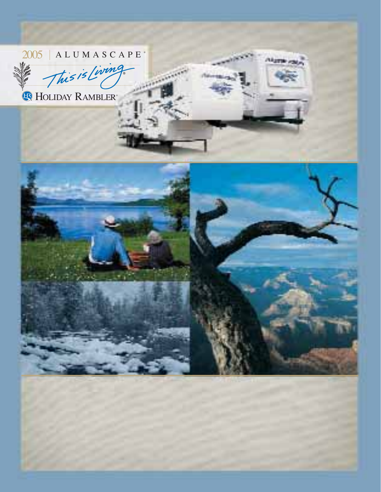### $2005$  ALUMASCAPE<sup>®</sup>

This is Living

HOLIDAY RAMBLER®



**Allgame** and

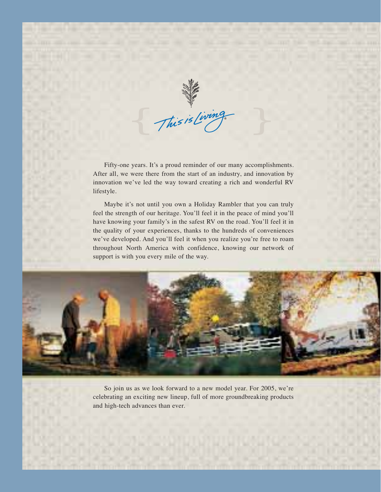This is Living

Fifty-one years. It's a proud reminder of our many accomplishments. After all, we were there from the start of an industry, and innovation by innovation we've led the way toward creating a rich and wonderful RV lifestyle.

Maybe it's not until you own a Holiday Rambler that you can truly feel the strength of our heritage. You'll feel it in the peace of mind you'll have knowing your family's in the safest RV on the road. You'll feel it in the quality of your experiences, thanks to the hundreds of conveniences we've developed. And you'll feel it when you realize you're free to roam throughout North America with confidence, knowing our network of support is with you every mile of the way.



So join us as we look forward to a new model year. For 2005, we're celebrating an exciting new lineup, full of more groundbreaking products and high-tech advances than ever.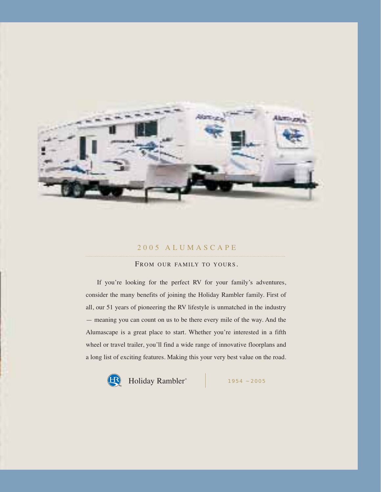

#### 2005 ALUMASCAPE

#### FROM OUR FAMILY TO YOURS.

If you're looking for the perfect RV for your family's adventures, consider the many benefits of joining the Holiday Rambler family. First of all, our 51 years of pioneering the RV lifestyle is unmatched in the industry — meaning you can count on us to be there every mile of the way. And the Alumascape is a great place to start. Whether you're interested in a fifth wheel or travel trailer, you'll find a wide range of innovative floorplans and a long list of exciting features. Making this your very best value on the road.

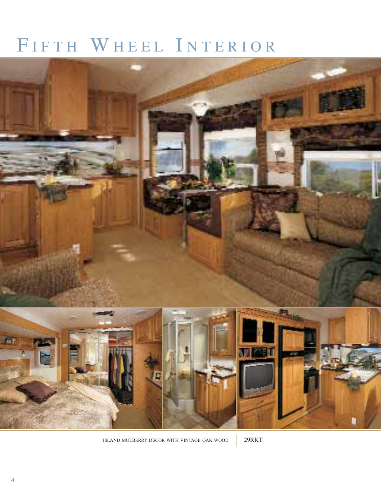## FIFTH WHEEL INTERIOR



ISLAND MULBERRY DECOR WITH VINTAGE OAK WOOD 29RKT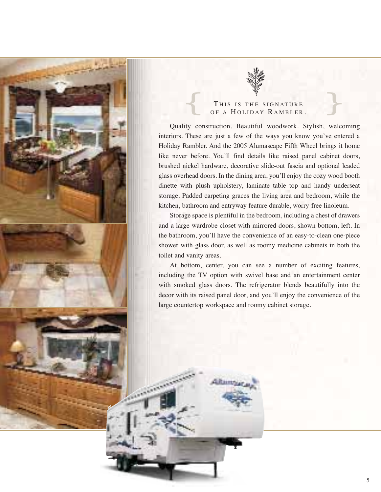![](_page_4_Picture_0.jpeg)

### THIS IS THE SIGNATURE OF A HOLIDAY RAMBLER.

Quality construction. Beautiful woodwork. Stylish, welcoming interiors. These are just a few of the ways you know you've entered a Holiday Rambler. And the 2005 Alumascape Fifth Wheel brings it home like never before. You'll find details like raised panel cabinet doors, brushed nickel hardware, decorative slide-out fascia and optional leaded glass overhead doors. In the dining area, you'll enjoy the cozy wood booth dinette with plush upholstery, laminate table top and handy underseat storage. Padded carpeting graces the living area and bedroom, while the kitchen, bathroom and entryway feature durable, worry-free linoleum.

Storage space is plentiful in the bedroom, including a chest of drawers and a large wardrobe closet with mirrored doors, shown bottom, left. In the bathroom, you'll have the convenience of an easy-to-clean one-piece shower with glass door, as well as roomy medicine cabinets in both the toilet and vanity areas.

At bottom, center, you can see a number of exciting features, including the TV option with swivel base and an entertainment center with smoked glass doors. The refrigerator blends beautifully into the decor with its raised panel door, and you'll enjoy the convenience of the large countertop workspace and roomy cabinet storage.

Altimour.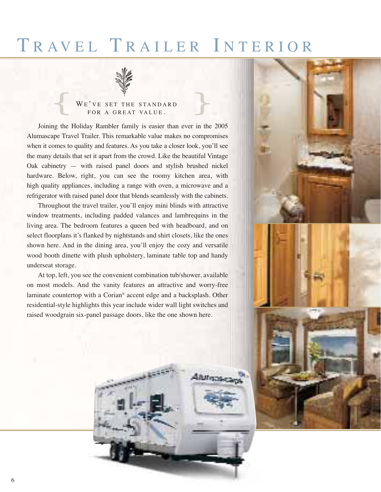### TRAVEL TRAILER INTERIOR

![](_page_5_Picture_1.jpeg)

### WE'VE SET THE STANDARD<br>FOR A GREAT VALUE.

Joining the Holiday Rambler family is easier than ever in the 2005 Alumascape Travel Trailer. This remarkable value makes no compromises when it comes to quality and features. As you take a closer look, you'll see the many details that set it apart from the crowd. Like the beautiful Vintage Oak cabinetry — with raised panel doors and stylish brushed nickel hardware. Below, right, you can see the roomy kitchen area, with high quality appliances, including a range with oven, a microwave and a refrigerator with raised panel door that blends seamlessly with the cabinets.

Throughout the travel trailer, you'll enjoy mini blinds with attractive window treatments, including padded valances and lambrequins in the living area. The bedroom features a queen bed with headboard, and on select floorplans it's flanked by nightstands and shirt closets, like the ones shown here. And in the dining area, you'll enjoy the cozy and versatile wood booth dinette with plush upholstery, laminate table top and handy underseat storage.

At top, left, you see the convenient combination tub/shower, available on most models. And the vanity features an attractive and worry-free laminate countertop with a Corian® accent edge and a backsplash. Other residential-style highlights this year include wider wall light switches and raised woodgrain six-panel passage doors, like the one shown here.

**Rifering** 

![](_page_5_Picture_6.jpeg)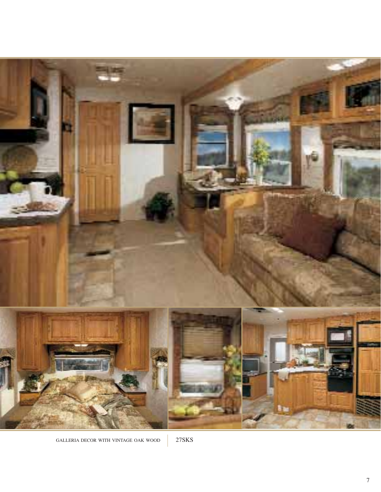![](_page_6_Picture_0.jpeg)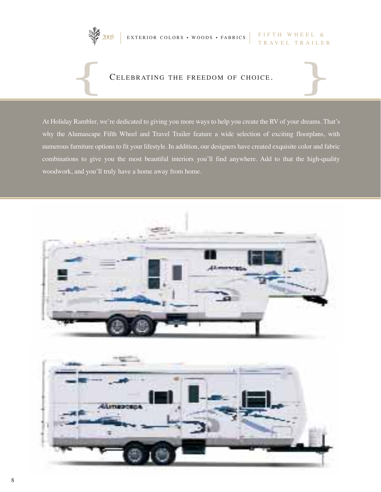$\sqrt{\frac{2005}{T R A V F I}}$  EXTERIOR COLORS • WOODS • FABRICS  $\left| \begin{array}{c} \text{FIFTH} \text{WHEEL} \end{array} \right|$ 

![](_page_7_Picture_1.jpeg)

### TRAVEL TRAILER

# CELEBRATING THE FREEDOM OF CHOICE. CELEBRATING THE FREEDOM OF CHOICE.

At Holiday Rambler, we're dedicated to giving you more ways to help you create the RV of your dreams. That's why the Alumascape Fifth Wheel and Travel Trailer feature a wide selection of exciting floorplans, with numerous furniture options to fit your lifestyle. In addition, our designers have created exquisite color and fabric combinations to give you the most beautiful interiors you'll find anywhere. Add to that the high-quality woodwork, and you'll truly have a home away from home.

![](_page_7_Picture_5.jpeg)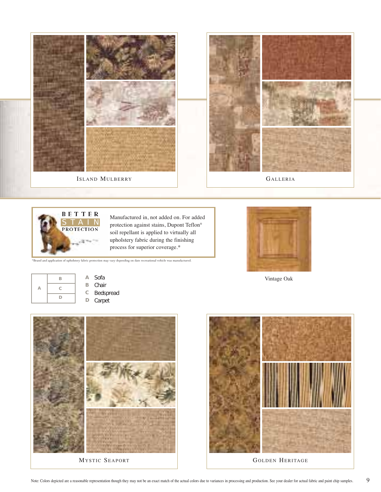![](_page_8_Picture_0.jpeg)

![](_page_8_Picture_1.jpeg)

Manufactured in, not added on. For added protection against stains, Dupont Teflon® soil repellant is applied to virtually all upholstery fabric during the finishing process for superior coverage.\*

\*Brand and application of upholstery fabric protection may vary depending on date recreational vehicle was manufactured.

![](_page_8_Picture_4.jpeg)

Vintage Oak

![](_page_8_Figure_6.jpeg)

**A** Sofa **B** Chair **C** Bedspread

**D** Carpet

![](_page_8_Picture_9.jpeg)

![](_page_8_Picture_11.jpeg)

MYSTIC SEAPORT SERITAGE SERITAGE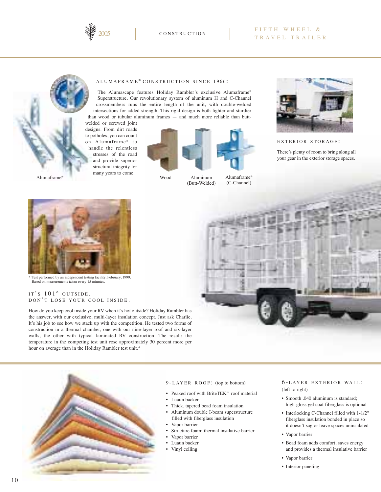![](_page_9_Picture_0.jpeg)

#### **CONSTRUCTION**

#### FIFTH WHEEL & TRAVEL TRAILER

#### ALUMAFRAME ® CONSTRUCTION SINCE 1966 :

The Alumascape features Holiday Rambler's exclusive Alumaframe® Superstructure. Our revolutionary system of aluminum H and C-Channel crossmembers runs the entire length of the unit, with double-welded intersections for added strength. This rigid design is both lighter and sturdier than wood or tubular aluminum frames — and much more reliable than butt-

welded or screwed joint designs. From dirt roads to potholes, you can count on Alumaframe<sup>®</sup> to handle the relentless stresses of the road and provide superior structural integrity for many years to come.

![](_page_9_Picture_6.jpeg)

Wood Aluminum (Butt-Welded) Alumaframe® (C-Channel)

![](_page_9_Picture_10.jpeg)

EXTERIOR STORAGE :

There's plenty of room to bring along all your gear in the exterior storage spaces.

![](_page_9_Picture_13.jpeg)

Test performed by an independent testing facility, February, 1999. Based on measurements taken every 15 minut

#### IT'S 101° OUTSIDE. DON'T LOSE YOUR COOL INSIDE.

How do you keep cool inside your RV when it's hot outside? Holiday Rambler has the answer, with our exclusive, multi-layer insulation concept. Just ask Charlie. It's his job to see how we stack up with the competition. He tested two forms of construction in a thermal chamber, one with our nine-layer roof and six-layer walls, the other with typical laminated RV construction. The result: the temperature in the competing test unit rose approximately 30 percent more per hour on average than in the Holiday Rambler test unit.\*

![](_page_9_Picture_17.jpeg)

![](_page_9_Picture_18.jpeg)

#### 9 - LAYER ROOF : (top to bottom)

- Peaked roof with BriteTEK™ roof material
- Luaun backer
- Thick, tapered bead foam insulation
- Aluminum double I-beam superstructure filled with fiberglass insulation
- Vapor barrier
- Structure foam: thermal insulative barrier
- Vapor barrier
- Luaun backer
- Vinyl ceiling

#### 6 - LAYER EXTERIOR WALL : (left to right)

- Smooth .040 aluminum is standard; high-gloss gel coat fiberglass is optional
- Interlocking C-Channel filled with 1-1/2" fiberglass insulation bonded in place so it doesn't sag or leave spaces uninsulated
- Vapor barrier
- Bead foam adds comfort, saves energy and provides a thermal insulative barrier
- Vapor barrier
- Interior paneling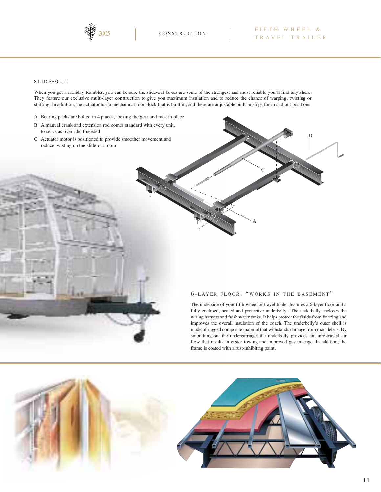![](_page_10_Picture_0.jpeg)

B

#### SLIDE - OUT:

When you get a Holiday Rambler, you can be sure the slide-out boxes are some of the strongest and most reliable you'll find anywhere. They feature our exclusive multi-layer construction to give you maximum insulation and to reduce the chance of warping, twisting or shifting. In addition, the actuator has a mechanical room lock that is built in, and there are adjustable built-in stops for in and out positions.

- A Bearing packs are bolted in 4 places, locking the gear and rack in place
- B A manual crank and extension rod comes standard with every unit, to serve as override if needed
- C Actuator motor is positioned to provide smoother movement and reduce twisting on the slide-out room

#### 6 - LAYER FLOOR : " WORKS IN THE BASEMENT "

A

 $\mathbf{C}$ 

The underside of your fifth wheel or travel trailer features a 6-layer floor and a fully enclosed, heated and protective underbelly. The underbelly encloses the wiring harness and fresh water tanks. It helps protect the fluids from freezing and improves the overall insulation of the coach. The underbelly's outer shell is made of rugged composite material that withstands damage from road debris. By smoothing out the undercarriage, the underbelly provides an unrestricted air flow that results in easier towing and improved gas mileage. In addition, the frame is coated with a rust-inhibiting paint.

![](_page_10_Picture_10.jpeg)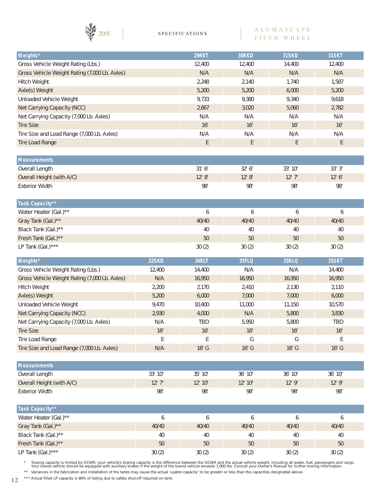![](_page_11_Picture_0.jpeg)

#### ALUMASCAPE FIFTH WHEEL

| Weights*                                      | 29RKT  | 30RKD  | <b>31SKD</b> | 31SKT  |
|-----------------------------------------------|--------|--------|--------------|--------|
| Gross Vehicle Weight Rating (Lbs.)            | 12,400 | 12,400 | 14,400       | 12,400 |
| Gross Vehicle Weight Rating (7,000 Lb. Axles) | N/A    | N/A    | N/A          | N/A    |
| Hitch Weight                                  | 2,248  | 2,140  | 1,740        | 1,587  |
| Axle(s) Weight                                | 5,200  | 5,200  | 6,000        | 5,200  |
| Unloaded Vehicle Weight                       | 9,733  | 9,380  | 9,340        | 9,618  |
| Net Carrying Capacity (NCC)                   | 2,667  | 3,020  | 5,060        | 2,782  |
| Net Carrying Capacity (7,000 Lb. Axles)       | N/A    | N/A    | N/A          | N/A    |
| <b>Tire Size</b>                              | 16"    | 16"    | 16"          | 16"    |
| Tire Size and Load Range (7,000 Lb. Axles)    | N/A    | N/A    | N/A          | N/A    |
| Tire Load Range                               | E      | E      | E            | E      |
|                                               |        |        |              |        |
| <b>Measurements</b>                           |        |        |              |        |
| Overall Length                                | 31'6'' | 32'6'' | 33' 10"      | 33'3"  |

| Overall Height (with A/C) | 1210" | 12!0" | 10170<br>L | 121L1<br>$\overline{L}$ |
|---------------------------|-------|-------|------------|-------------------------|
| Exterior Width            | 98"   | 98"   | 98"        | 98"                     |

| Tank Capacity**       |       |       |       |       |
|-----------------------|-------|-------|-------|-------|
| Water Heater (Gal.)** |       |       |       |       |
| Gray Tank (Gal.)**    | 40/40 | 40/40 | 40/40 | 40/40 |
| Black Tank (Gal.)**   | 40    | 40    | 40    | 40    |
| Fresh Tank (Gal.)**   | 50    | 50    | 50    | 50    |
| LP Tank (Gal.)***     | 30(2) | 30(2) | 30(2) | 30(2) |

| 32SKD  | 34RLT   | <b>35FLQ</b> | <b>35RLQ</b> | 35SKT   |
|--------|---------|--------------|--------------|---------|
| 12,400 | 14,400  | N/A          | N/A          | 14,400  |
| N/A    | 16,950  | 16,950       | 16,950       | 16,950  |
| 2,200  | 2.170   | 2.410        | 2.130        | 2.110   |
| 5,200  | 6,000   | 7.000        | 7,000        | 6,000   |
| 9.470  | 10,400  | 11,000       | 11,150       | 10,570  |
| 2.930  | 4,000   | N/A          | 5,800        | 3,830   |
| N/A    | TBD     | 5,950        | 5,800        | TBD     |
| 16"    | 16"     | 16"          | 16"          | 16"     |
| F      | F       | G            | G            | F       |
| N/A    | $16"$ G | $16"$ G      | $16"$ G      | $16"$ G |
|        |         |              |              |         |

| <b>Measurements</b>       |             |             |           |             |        |
|---------------------------|-------------|-------------|-----------|-------------|--------|
| Overall Length            | 33' 10"     | 35'10"      | 36'10"    | 36'10"      | 36'10" |
| Overall Height (with A/C) | $12'$ $7''$ | $12'$ $10"$ | $12'$ 10" | $12'$ $9''$ | 12'9'' |
| <b>Exterior Width</b>     | 98'         | 98"         | 98"       | 98"         | 98"    |

| Tank Capacity**       |       |       |       |       |       |
|-----------------------|-------|-------|-------|-------|-------|
| Water Heater (Gal.)** |       |       |       |       |       |
| Gray Tank (Gal.)**    | 40/40 | 40/40 | 40/40 | 40/40 | 40/40 |
| Black Tank (Gal.)**   | 40    | 40    | 40    | 40    | 40    |
| Fresh Tank (Gal.)**   | 50    | 50    | 50    | 50    | 50    |
| LP Tank (Gal.)***     | 30(2) | 30(2) | 30(2) | 30(2) | 30(2) |

\* Towing capacity is limited by GCWR; your vehicle's towing capacity is the difference between the GCWR and the actual vehicle weight, including all water, fuel, passengers and cargo.<br>Your towed vehicle should be equipped \*\* Variances in the fabrication and installation of the tanks may cause the actual 'usable capacity' to be greater or less than the capacities designated above.

\*\*\* Actual filled LP capacity is 80% of listing due to safety shut-off required on tank.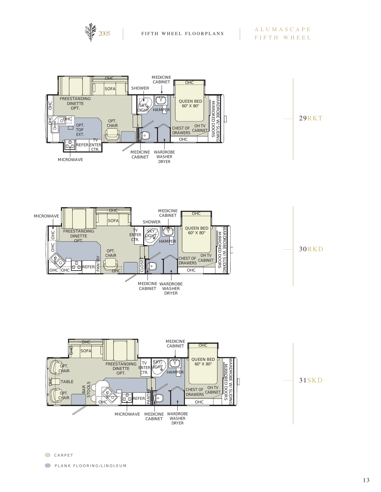![](_page_12_Picture_0.jpeg)

![](_page_12_Figure_3.jpeg)

![](_page_12_Figure_4.jpeg)

![](_page_12_Figure_5.jpeg)

![](_page_12_Figure_6.jpeg)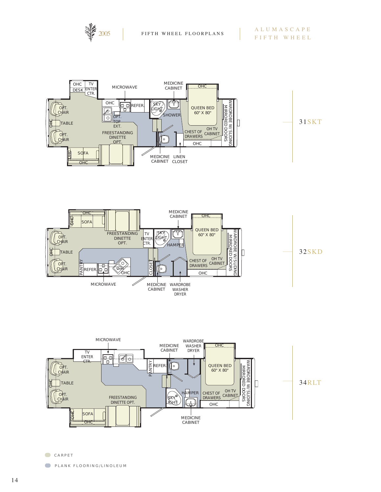![](_page_13_Picture_0.jpeg)

![](_page_13_Figure_3.jpeg)

![](_page_13_Figure_4.jpeg)

![](_page_13_Figure_5.jpeg)

CARPET

**PLANK FLOORING/LINOLEUM**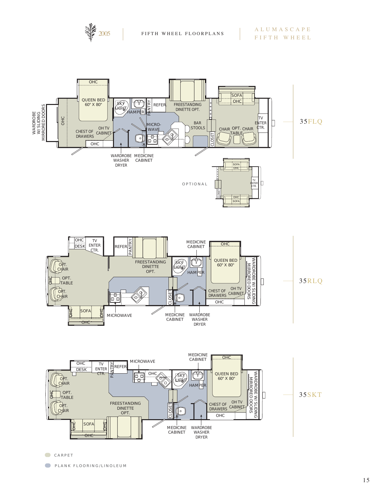![](_page_14_Picture_0.jpeg)

![](_page_14_Figure_3.jpeg)

![](_page_14_Figure_4.jpeg)

**CARPET** 

**PLANK FLOORING/LINOLEUM**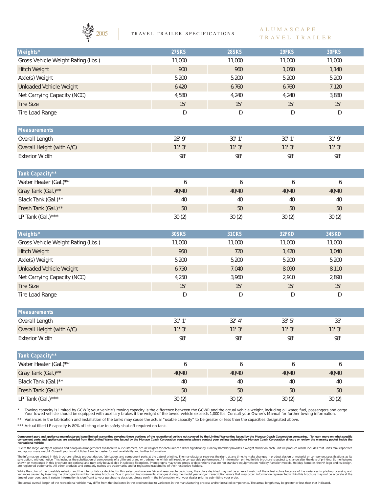![](_page_15_Picture_0.jpeg)

2005 | TRAVEL TRAILER SPECIFICATIONS

#### ALUMASCAPE TRAVEL TRAILER

| Weights*                           | 27SKS            | 28SKS        | 29FKS  | 30FKS  |
|------------------------------------|------------------|--------------|--------|--------|
| Gross Vehicle Weight Rating (Lbs.) | 11,000           | 11,000       | 11,000 | 11,000 |
| <b>Hitch Weight</b>                | 900              | 960          | 1,050  | 1,140  |
| Axle(s) Weight                     | 5,200            | 5,200        | 5,200  | 5,200  |
| <b>Unloaded Vehicle Weight</b>     | 6,420            | 6,760        | 6,760  | 7,120  |
| Net Carrying Capacity (NCC)        | 4,580            | 4,240        | 4,240  | 3,880  |
| <b>Tire Size</b>                   | 15"              | 15"          | 15"    | 15"    |
| Tire Load Range                    | D                | D            | D      | D      |
| <b>Measurements</b>                |                  |              |        |        |
| Overall Length                     | 28' 9"           | 30'1"        | 30'1"  | 31'9'' |
| Overall Height (with A/C)          | 11'3''           | 11'3''       | 11'3'' | 11'3'' |
| <b>Exterior Width</b>              | 98"              | 98"          | 98"    | 98"    |
| Tank Capacity**                    |                  |              |        |        |
| Water Heater (Gal.)**              | 6                | 6            | 6      | 6      |
| Gray Tank (Gal.)**                 | 40/40            | 40/40        | 40/40  | 40/40  |
| Black Tank (Gal.)**                | 40               | 40           | $40\,$ | 40     |
| Fresh Tank (Gal.)**                | 50               | 50           | 50     | 50     |
| LP Tank (Gal.)***                  | 30(2)            | 30(2)        | 30(2)  | 30(2)  |
| Weights*                           | <b>30SKS</b>     | <b>31CKS</b> | 32FKD  | 34SKD  |
| Gross Vehicle Weight Rating (Lbs.) | 11,000           | 11,000       | 11,000 | 11,000 |
| <b>Hitch Weight</b>                | 950              | 720          | 1,420  | 1,040  |
| Axle(s) Weight                     | 5,200            | 5,200        | 5,200  | 5,200  |
| <b>Unloaded Vehicle Weight</b>     | 6,750            | 7,040        | 8,090  | 8,110  |
| Net Carrying Capacity (NCC)        | 4,250            | 3,960        | 2,910  | 2,890  |
| <b>Tire Size</b>                   | 15"              | 15"          | 15"    | 15"    |
| Tire Load Range                    | D                | D            | D      | D      |
| <b>Measurements</b>                |                  |              |        |        |
| Overall Length                     | 31'1''           | 32' 4"       | 33'5'' | $35"$  |
| Overall Height (with A/C)          | 11'3''           | 11'3"        | 11'3"  | 11'3'' |
| <b>Exterior Width</b>              | 98"              | 98"          | 98"    | 98"    |
| Tank Capacity**                    |                  |              |        |        |
| Water Heater (Gal.)**              | $\boldsymbol{6}$ | 6            | 6      | 6      |
| Gray Tank (Gal.)**                 | 40/40            | 40/40        | 40/40  | 40/40  |
|                                    |                  |              |        |        |
| Black Tank (Gal.)**                | 40               | 40           | 40     | 40     |
| Fresh Tank (Gal.)**                | 50               | $50\,$       | $50\,$ | $50\,$ |
| LP Tank (Gal.)***                  | 30(2)            | 30(2)        | 30(2)  | 30(2)  |

\* Towing capacity is limited by GCWR; your vehicle's towing capacity is the difference between the GCWR and the actual vehicle weight, including all water, fuel, passengers and cargo.<br>Your towed vehicle should be equipped

\*\* Variances in the fabrication and installation of the tanks may cause the actual "usable capacity" to be greater or less than the capacities designated above.

\*\*\* Actual filled LP capacity is 80% of listing due to safety shut-off required on tank.

Component part and appliance manufacturers issue limited warranties covering those portions of the recreational vehicle not covered by the Limited Warranties issued by the Monaco Coach Corporation companies. To learn more

Due to the large variety of options and floorplan arrangements available to our customers, actual weights for each unit can differ significantly. Holiday Rambler provides a weight sticker on each unit we produce which incl

The information printed in this brochure reflects product design, fabrication, and component parts at the date of printing. The manufacturer reserves the right, at any time to both components performance in information pri

While the color of the towable's exterior and the interior fabrics depicted in this sales brochure are fair and reasonable depictions, the colors depicted may not be an exact match of the actual colors because of the varia

The actual overall length of the recreational vehicle may differ from that indicated in the brochure due to variances in the manufacturing process and/or installed components. The actual length may be greater or less than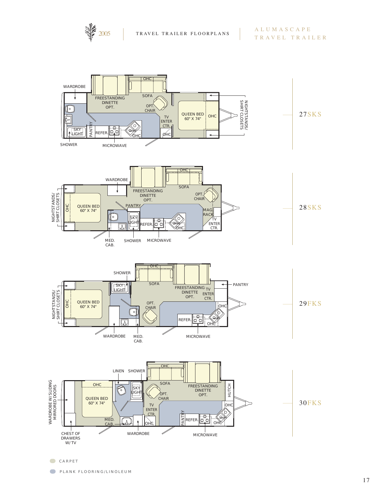![](_page_16_Picture_0.jpeg)

![](_page_16_Figure_3.jpeg)

CARPET

**PLANK FLOORING/LINOLEUM**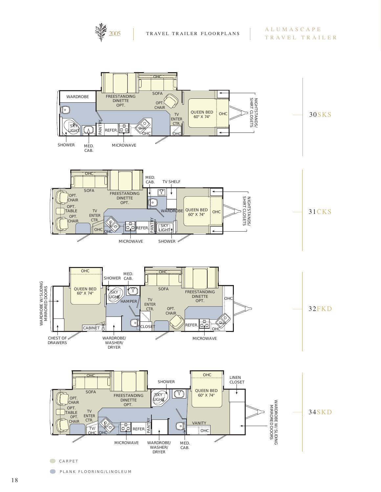![](_page_17_Picture_0.jpeg)

![](_page_17_Figure_3.jpeg)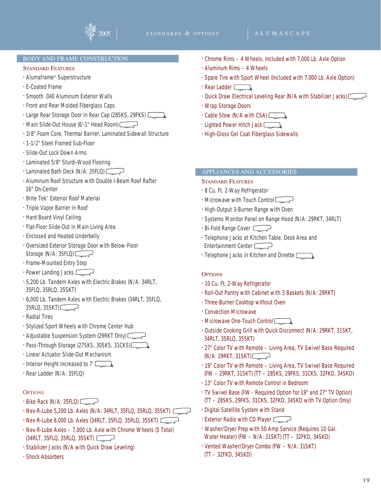![](_page_18_Picture_2.jpeg)

#### BODY AND FRAME CONSTRUCTION

#### STANDARD FEATURES

- Alumaframe® Superstructure
- E-Coated Frame
- Smooth .040 Aluminum Exterior Walls
- Front and Rear Molded Fiberglass Caps
- Large Rear Storage Door in Rear Cap (28SKS, 29FKS)  $\Box$
- Main Slide-Out House (6'-1" Head Room)
- 3/8" Foam Core, Thermal Barrier, Laminated Sidewall Structure
- 1-1/2" Steel Framed Sub-Floor
- Slide-Out Lock Down Arms
- Laminated 5/8" Sturdi-Wood Flooring
- Laminated Bath Deck (N/A: 35FLQ)
- Aluminum Roof Structure with Double I-Beam Roof Rafter 16" On-Center
- Brite Tek™ Exterior Roof Material
- Triple Vapor Barrier in Roof
- Hard Board Vinyl Ceiling
- Flat-Floor Slide-Out in Main Living Area
- Enclosed and Heated Underbelly
- Oversized Exterior Storage Door with Below-Floor Storage (N/A:  $35FLO$ )  $\Box$
- Frame-Mounted Entry Step
- Power Landing Jacks  $\sqrt{\phantom{a}$
- 5,200 Lb. Tandem Axles with Electric Brakes (N/A: 34RLT, 35FLQ, 35RLQ, 35SKT)
- 6,000 Lb. Tandem Axles with Electric Brakes (34RLT, 35FLQ, 35RLQ, 35SKT)
- Radial Tires
- Stylized Sport Wheels with Chrome Center Hub
- Adjustable Suspension System (29RKT Only)
- Pass-Through Storage (27SKS, 30SKS, 31CKS)
- Linear Actuator Slide-Out Mechanism
- Interior Height Increased to 7'
- Rear Ladder (N/A: 35FLQ)

#### **OPTIONS**

- $\cdot$  Bike Rack (N/A: 35FLQ)  $\sqrt{ }$
- Nev-R-Lube 5,200 Lb. Axles (N/A: 34RLT, 35FLQ, 35RLQ, 35SKT)
- Nev-R-Lube 6,000 Lb. Axles (34RLT, 35FLQ, 35RLQ, 35SKT)
- Nev-R-Lube Axles 7,000 Lb. Axle with Chrome Wheels (5 Total) (34RLT, 35FLQ, 35RLQ, 35SKT)
- Stabilizer Jacks (N/A with Quick Draw Leveling)
- Shock Absorbers
- Chrome Rims 4 Wheels, Included with 7,000 Lb. Axle Option
- Aluminum Rims 4 Wheels
- Spare Tire with Sport Wheel (Included with 7,000 Lb. Axle Option)
- Rear Ladder <sub>ward</sub>
- Quick Draw Electrical Leveling Rear (N/A with Stabilizer Jacks)  $\sqrt{ }$
- Wrap Storage Doors
- Cable Stow (N/A with CSA)
- Lighted Power Hitch Jack  $\Box$
- High-Gloss Gel Coat Fiberglass Sidewalls

#### APPLIANCES AND ACCESSORIES

#### STANDARD FEATURES

- 8 Cu. Ft. 2-Way Refrigerator
- $\cdot$  Microwave with Touch Control  $\sqrt{ }$
- High-Output 3-Burner Range with Oven
- Systems Monitor Panel on Range Hood (N/A: 29RKT, 34RLT)
- Bi-Fold Range Cover
- Telephone Jacks at Kitchen Table, Desk Area and Entertainment Center
- Telephone Jacks in Kitchen and Dinette  $\Box$

#### **OPTIONS**

- 10 Cu. Ft. 2-Way Refrigerator
- Roll-Out Pantry with Cabinet with 3 Baskets (N/A: 29RKT)
- Three-Burner Cooktop without Oven
- Convection Microwave
- Microwave One-Touch Control Comedia
- Outside Cooking Grill with Quick Disconnect (N/A: 29RKT, 31SKT, 34RLT, 35RLQ, 35SKT)
- 27" Color TV with Remote Living Area, TV Swivel Base Required  $(N/A: 29RKT, 31SKT)$
- 19" Color TV with Remote Living Area, TV Swivel Base Required (FW – 29RKT, 31SKT) (TT – 28SKS, 29FKS, 31CKS, 32FKD, 34SKD)
- 13" Color TV with Remote Control in Bedroom
- TV Swivel Base (FW Required Option for 19" and 27" TV Option) (TT – 28SKS, 29FKS, 31CKS, 32FKD, 34SKD with TV Option Only)
- Digital Satellite System with Stand
- Exterior Radio with CD Player
- Washer/Dryer Prep with 50 Amp Service (Requires 10 Gal. Water Heater) (FW – N/A: 31SKT) (TT – 32FKD, 34SKD)
- Vented Washer/Dryer Combo (FW N/A: 31SKT)
- (TT 32FKD, 34SKD)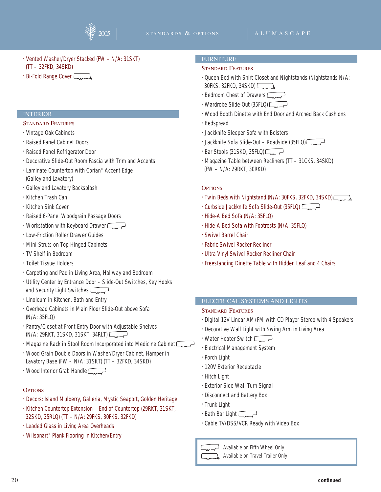![](_page_19_Picture_2.jpeg)

- Vented Washer/Dryer Stacked (FW N/A: 31SKT) (TT – 32FKD, 34SKD)
- $\cdot$  Bi-Fold Range Cover  $\Box$

#### **INTERIOR**

#### STANDARD FEATURES

- Vintage Oak Cabinets
- Raised Panel Cabinet Doors
- Raised Panel Refrigerator Door
- Decorative Slide-Out Room Fascia with Trim and Accents
- Laminate Countertop with Corian® Accent Edge (Galley and Lavatory)
- Galley and Lavatory Backsplash
- Kitchen Trash Can
- Kitchen Sink Cover
- Raised 6-Panel Woodgrain Passage Doors
- Workstation with Keyboard Drawer
- Low-Friction Roller Drawer Guides
- Mini-Struts on Top-Hinged Cabinets
- TV Shelf in Bedroom
- Toilet Tissue Holders
- Carpeting and Pad in Living Area, Hallway and Bedroom
- Utility Center by Entrance Door Slide-Out Switches, Key Hooks and Security Light Switches
- Linoleum in Kitchen, Bath and Entry
- Overhead Cabinets in Main Floor Slide-Out above Sofa (N/A: 35FLQ)
- Pantry/Closet at Front Entry Door with Adjustable Shelves (N/A: 29RKT, 31SKD, 31SKT, 34RLT)
- Magazine Rack in Stool Room Incorporated into Medicine Cabinet
- Wood Grain Double Doors in Washer/Dryer Cabinet, Hamper in Lavatory Base (FW – N/A: 31SKT) (TT – 32FKD, 34SKD)
- Wood Interior Grab Handle

#### **OPTIONS**

- Decors: Island Mulberry, Galleria, Mystic Seaport, Golden Heritage
- Kitchen Countertop Extension End of Countertop (29RKT, 31SKT, 32SKD, 35RLQ) (TT – N/A: 29FKS, 30FKS, 32FKD)
- Leaded Glass in Living Area Overheads
- Wilsonart® Plank Flooring in Kitchen/Entry

#### FURNITURE

#### STANDARD FEATURES

- Queen Bed with Shirt Closet and Nightstands (Nightstands N/A: 30FKS, 32FKD, 34SKD)
- Bedroom Chest of Drawers  $\sqrt{ }$
- Wardrobe Slide-Out (35FLQ)
- Wood Booth Dinette with End Door and Arched Back Cushions
- Bedspread
- Jackknife Sleeper Sofa with Bolsters
- Jackknife Sofa Slide-Out Roadside (35FLQ) $\Box$
- $\cdot$  Bar Stools (31SKD, 35FLQ) $\sqrt{2}$
- Magazine Table between Recliners (TT 31CKS, 34SKD) (FW – N/A: 29RKT, 30RKD)

#### **OPTIONS**

- Twin Beds with Nightstand (N/A: 30FKS, 32FKD, 34SKD)
- Curbside Jackknife Sofa Slide-Out (35FLQ)
- Hide-A Bed Sofa (N/A: 35FLQ)
- Hide-A Bed Sofa with Footrests (N/A: 35FLQ)
- Swivel Barrel Chair
- Fabric Swivel Rocker Recliner
- Ultra Vinyl Swivel Rocker Recliner Chair
- Freestanding Dinette Table with Hidden Leaf and 4 Chairs

#### ELECTRICAL SYSTEMS AND LIGHTS

#### STANDARD FEATURES

- Digital 12V Linear AM/FM with CD Player Stereo with 4 Speakers
- Decorative Wall Light with Swing Arm in Living Area
- Water Heater Switch
- Electrical Management System
- Porch Light
- 120V Exterior Receptacle
- Hitch Light
- Exterior Side Wall Turn Signal
- Disconnect and Battery Box
- Trunk Light
- $\cdot$  Bath Bar Light  $\Box$
- Cable TV/DSS/VCR Ready with Video Box

Available on Fifth Wheel Only

Available on Travel Trailer Only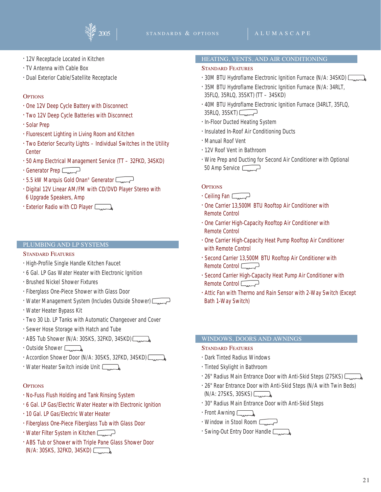![](_page_20_Picture_2.jpeg)

- 12V Receptacle Located in Kitchen
- TV Antenna with Cable Box
- Dual Exterior Cable/Satellite Receptacle

#### **OPTIONS**

- One 12V Deep Cycle Battery with Disconnect
- Two 12V Deep Cycle Batteries with Disconnect
- Solar Prep
- Fluorescent Lighting in Living Room and Kitchen
- Two Exterior Security Lights Individual Switches in the Utility **Center**
- 50 Amp Electrical Management Service (TT 32FKD, 34SKD)
- Generator Prep
- 5.5 kW Marquis Gold Onan® Generator  $\sqrt{2}$
- Digital 12V Linear AM/FM with CD/DVD Player Stereo with 6 Upgrade Speakers, Amp
- Exterior Radio with CD Player

#### PLUMBING AND LP SYSTEMS

#### STANDARD FEATURES

- High-Profile Single Handle Kitchen Faucet
- 6 Gal. LP Gas Water Heater with Electronic Ignition
- Brushed Nickel Shower Fixtures
- Fiberglass One-Piece Shower with Glass Door
- Water Management System (Includes Outside Shower)  $\sqrt{ }$
- Water Heater Bypass Kit
- Two 30 Lb. LP Tanks with Automatic Changeover and Cover
- Sewer Hose Storage with Hatch and Tube
- ABS Tub Shower (N/A: 30SKS, 32FKD, 34SKD)
- $\cdot$  Outside Shower
- Accordion Shower Door (N/A: 30SKS, 32FKD, 34SKD)
- Water Heater Switch inside Unit Lumb

#### **OPTIONS**

- No-Fuss Flush Holding and Tank Rinsing System
- 6 Gal. LP Gas/Electric Water Heater with Electronic Ignition
- 10 Gal. LP Gas/Electric Water Heater
- Fiberglass One-Piece Fiberglass Tub with Glass Door
- Water Filter System in Kitchen
- ABS Tub or Shower with Triple Pane Glass Shower Door (N/A: 30SKS, 32FKD, 34SKD)

#### HEATING, VENTS, AND AIR CONDITIONING

#### STANDARD FEATURES

- 30M BTU Hydroflame Electronic Ignition Furnace (N/A: 34SKD)
- 35M BTU Hydroflame Electronic Ignition Furnace (N/A: 34RLT, 35FLQ, 35RLQ, 35SKT) (TT – 34SKD)
- 40M BTU Hydroflame Electronic Ignition Furnace (34RLT, 35FLQ,  $35RLQ$ ,  $35SKT$ )  $\Box$
- In-Floor Ducted Heating System
- Insulated In-Roof Air Conditioning Ducts
- Manual Roof Vent
- 12V Roof Vent in Bathroom
- Wire Prep and Ducting for Second Air Conditioner with Optional 50 Amp Service  $\Box$

#### **OPTIONS**

- Ceiling Fan  $\Box$
- One Carrier 13,500M BTU Rooftop Air Conditioner with Remote Control
- One Carrier High-Capacity Rooftop Air Conditioner with Remote Control
- One Carrier High-Capacity Heat Pump Rooftop Air Conditioner with Remote Control
- Second Carrier 13,500M BTU Rooftop Air Conditioner with Remote Control
- Second Carrier High-Capacity Heat Pump Air Conditioner with Remote Control  $\Box$
- Attic Fan with Thermo and Rain Sensor with 2-Way Switch (Except Bath 1-Way Switch)

#### WINDOWS, DOORS AND AWNINGS

#### STANDARD FEATURES

- Dark Tinted Radius Windows
- Tinted Skylight in Bathroom
- 26" Radius Main Entrance Door with Anti-Skid Steps (27SKS)  $\Box$
- 26" Rear Entrance Door with Anti-Skid Steps (N/A with Twin Beds)  $(N/A: 27SKS, 30SKS)$
- 30" Radius Main Entrance Door with Anti-Skid Steps
- $\cdot$  Front Awning  $\Box$
- Window in Stool Room  $\sqrt{ }$
- Swing-Out Entry Door Handle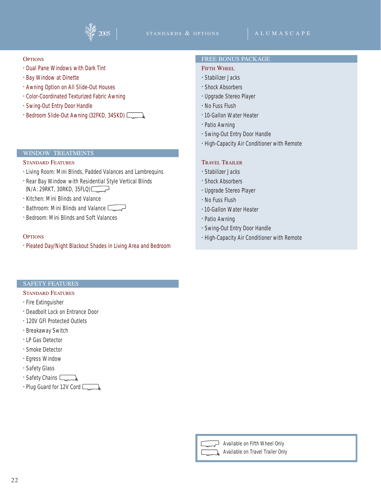![](_page_21_Picture_0.jpeg)

![](_page_21_Picture_2.jpeg)

#### **OPTIONS**

- Dual Pane Windows with Dark Tint
- Bay Window at Dinette
- Awning Option on All Slide-Out Houses
- Color-Coordinated Texturized Fabric Awning
- Swing-Out Entry Door Handle
- Bedroom Slide-Out Awning (32FKD, 34SKD)

#### WINDOW TREATMENTS

#### STANDARD FEATURES

- Living Room: Mini Blinds, Padded Valances and Lambrequins
- Rear Bay Window with Residential Style Vertical Blinds  $(N/A: 29RKT, 30RKD, 35FLO)$
- Kitchen: Mini Blinds and Valance
- Bathroom: Mini Blinds and Valance
- Bedroom: Mini Blinds and Soft Valances

#### **OPTIONS**

• Pleated Day/Night Blackout Shades in Living Area and Bedroom

#### FREE BONUS PACKAGE

#### FIFTH WHEEL

- Stabilizer Jacks
- Shock Absorbers
- Upgrade Stereo Player
- No Fuss Flush
- •10-Gallon Water Heater
- Patio Awning
- Swing-Out Entry Door Handle
- High-Capacity Air Conditioner with Remote

#### TRAVEL TRAILER

- Stabilizer Jacks
- Shock Absorbers
- Upgrade Stereo Player
- No Fuss Flush
- •10-Gallon Water Heater
- Patio Awning
- Swing-Out Entry Door Handle
- High-Capacity Air Conditioner with Remote

#### SAFETY FEATURES

#### STANDARD FEATURES

• Fire Extinguisher

- Deadbolt Lock on Entrance Door
- 120V GFI Protected Outlets
- Breakaway Switch
- LP Gas Detector
- Smoke Detector
- Egress Window
- Safety Glass
- Safety Chains Lumb
- Plug Guard for 12V Cord  $\Box$

![](_page_21_Picture_50.jpeg)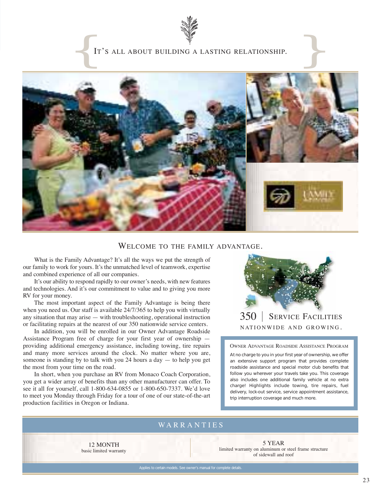![](_page_22_Picture_0.jpeg)

#### IT'S ALL ABOUT BUILDING A LASTING RELATIONSHIP.

![](_page_22_Picture_2.jpeg)

#### WELCOME TO THE FAMILY ADVANTAGE.

What is the Family Advantage? It's all the ways we put the strength of our family to work for yours. It's the unmatched level of teamwork, expertise and combined experience of all our companies.

It's our ability to respond rapidly to our owner's needs, with new features and technologies. And it's our commitment to value and to giving you more RV for your money.

The most important aspect of the Family Advantage is being there when you need us. Our staff is available 24/7/365 to help you with virtually any situation that may arise — with troubleshooting, operational instruction or facilitating repairs at the nearest of our 350 nationwide service centers.

In addition, you will be enrolled in our Owner Advantage Roadside Assistance Program free of charge for your first year of ownership providing additional emergency assistance, including towing, tire repairs and many more services around the clock. No matter where you are, someone is standing by to talk with you 24 hours a day  $-$  to help you get the most from your time on the road.

In short, when you purchase an RV from Monaco Coach Corporation, you get a wider array of benefits than any other manufacturer can offer. To see it all for yourself, call 1-800-634-0855 or 1-800-650-7337. We'd love to meet you Monday through Friday for a tour of one of our state-of-the-art production facilities in Oregon or Indiana.

![](_page_22_Picture_9.jpeg)

NATIONWIDE AND GROWING .

#### OWNER ADVANTAGE ROADSIDE ASSISTANCE PROGRAM

At no charge to you in your first year of ownership, we offer an extensive support program that provides complete roadside assistance and special motor club benefits that follow you wherever your travels take you. This coverage also includes one additional family vehicle at no extra charge! Highlights include towing, tire repairs, fuel delivery, lock-out service, service appointment assistance, trip interruption coverage and much more.

### WARRANTIES

12 MONTH basic limited warranty

5 YEAR limited warranty on aluminum or steel frame structure of sidewall and roof